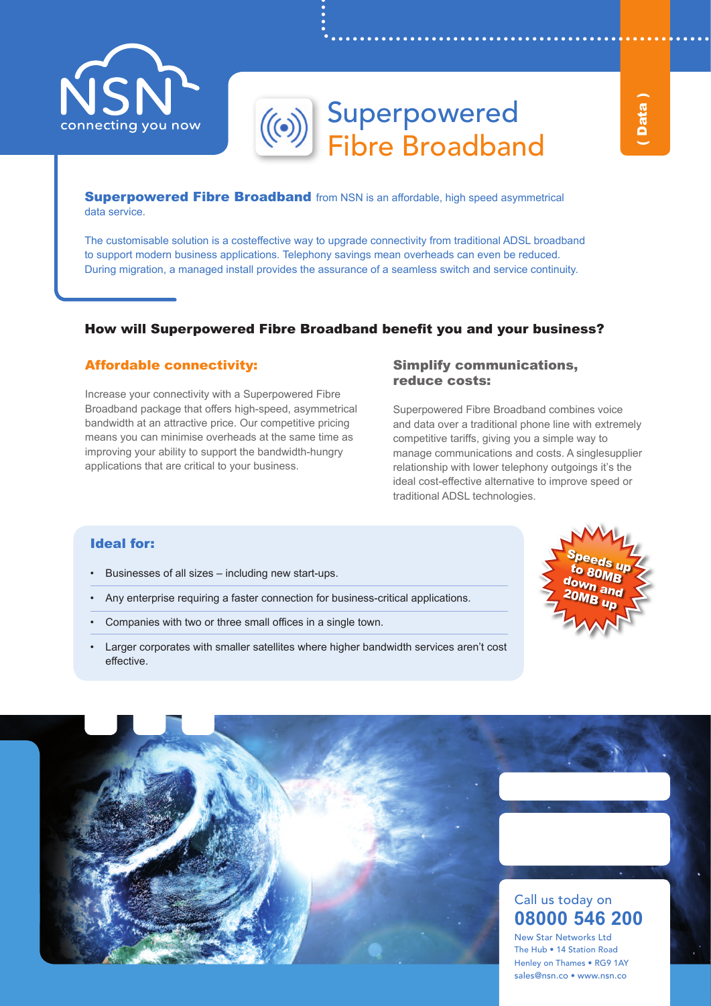

# Superpowered Fibre Broadband

**Superpowered Fibre Broadband** from NSN is an affordable, high speed asymmetrical data service.

The customisable solution is a costeffective way to upgrade connectivity from traditional ADSL broadband to support modern business applications. Telephony savings mean overheads can even be reduced. During migration, a managed install provides the assurance of a seamless switch and service continuity.

# How will Superpowered Fibre Broadband benefit you and your business?

## Affordable connectivity:

Increase your connectivity with a Superpowered Fibre Broadband package that offers high-speed, asymmetrical bandwidth at an attractive price. Our competitive pricing means you can minimise overheads at the same time as improving your ability to support the bandwidth-hungry applications that are critical to your business.

### Simplify communications, reduce costs:

Superpowered Fibre Broadband combines voice and data over a traditional phone line with extremely competitive tariffs, giving you a simple way to manage communications and costs. A singlesupplier relationship with lower telephony outgoings it's the ideal cost-effective alternative to improve speed or traditional ADSL technologies.

# Ideal for:

- • Businesses of all sizes including new start-ups.
- Any enterprise requiring a faster connection for business-critical applications.
- Companies with two or three small offices in a single town.
- Larger corporates with smaller satellites where higher bandwidth services aren't cost effective.



# Call us today on **08000 546 200**

New Star Networks Ltd The Hub • 14 Station Road Henley on Thames • RG9 1AY sales@nsn.co • www.nsn.co